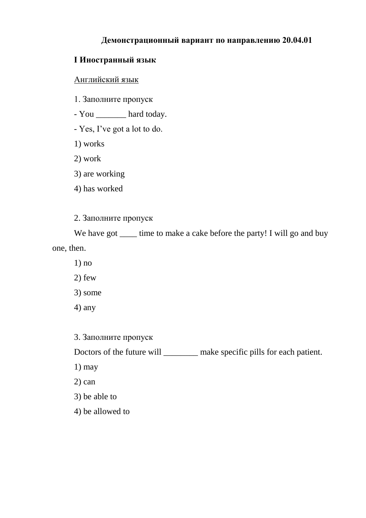# **Демонстрационный вариант по направлению 20.04.01**

# **I Иностранный язык**

# Английский язык

- 1. Заполните пропуск
- You \_\_\_\_\_\_\_\_ hard today.
- Yes, I've got a lot to do.
- 1) works
- 2) work
- 3) are working
- 4) has worked
- 2. Заполните пропуск

We have got time to make a cake before the party! I will go and buy one, then.

- 1) no
- 2) few
- 3) some
- 4) any

3. Заполните пропуск

Doctors of the future will \_\_\_\_\_\_\_\_\_\_ make specific pills for each patient.

- 1) may
- 2) can
- 3) be able to
- 4) be allowed to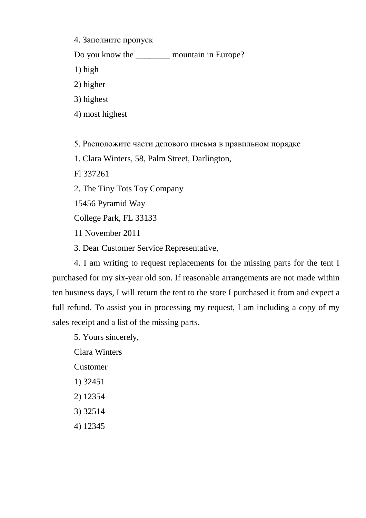4. Заполните пропуск

Do you know the \_\_\_\_\_\_\_\_ mountain in Europe?

1) high

2) higher

3) highest

4) most highest

5. Расположите части делового письма в правильном порядке

1. Clara Winters, 58, Palm Street, Darlington,

Fl 337261

2. The Tiny Tots Toy Company

15456 Pyramid Way

College Park, FL 33133

11 November 2011

3. Dear Customer Service Representative,

4. I am writing to request replacements for the missing parts for the tent I purchased for my six-year old son. If reasonable arrangements are not made within ten business days, I will return the tent to the store I purchased it from and expect a full refund. To assist you in processing my request, I am including a copy of my sales receipt and a list of the missing parts.

5. Yours sincerely,

Clara Winters

Customer

- 1) 32451
- 2) 12354
- 3) 32514
- 4) 12345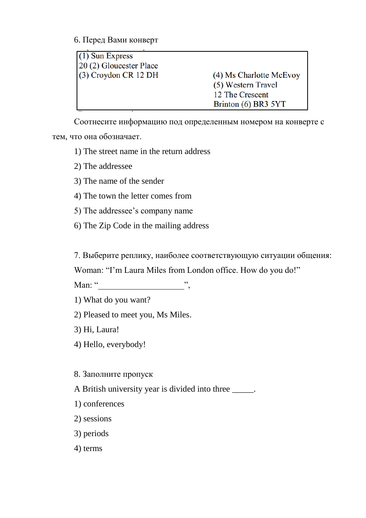6. Перед Вами конверт

| $(1)$ Sun Express       |                         |
|-------------------------|-------------------------|
| 20 (2) Gloucester Place |                         |
| $(3)$ Croydon CR 12 DH  | (4) Ms Charlotte McEvoy |
|                         | (5) Western Travel      |
|                         | 12 The Crescent         |
|                         | Brinton (6) BR3 5YT     |

Соотнесите информацию под определенным номером на конверте с тем, что она обозначает.

1) The street name in the return address

2) The addressee

3) The name of the sender

4) The town the letter comes from

5) The addressee's company name

6) The Zip Code in the mailing address

7. Выберите реплику, наиболее соответствующую ситуации общения:

Woman: "I'm Laura Miles from London office. How do you do!"

Man: " $\blacksquare$ "

1) What do you want?

2) Pleased to meet you, Ms Miles.

3) Hi, Laura!

4) Hello, everybody!

8. Заполните пропуск

A British university year is divided into three \_\_\_\_\_.

1) conferences

2) sessions

3) periods

4) terms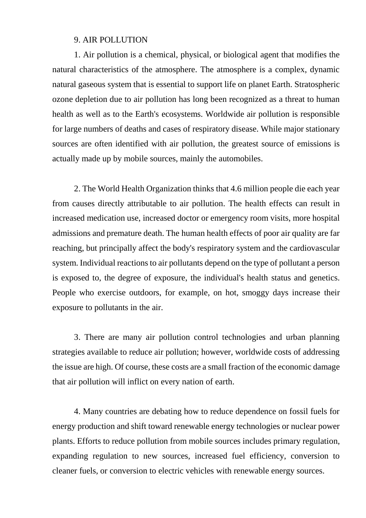### 9. AIR POLLUTION

1. Air pollution is a chemical, physical, or biological agent that modifies the natural characteristics of the atmosphere. The atmosphere is a complex, dynamic natural gaseous system that is essential to support life on planet Earth. Stratospheric ozone depletion due to air pollution has long been recognized as a threat to human health as well as to the Earth's ecosystems. Worldwide air pollution is responsible for large numbers of deaths and cases of respiratory disease. While major stationary sources are often identified with air pollution, the greatest source of emissions is actually made up by mobile sources, mainly the automobiles.

2. The World Health Organization thinks that 4.6 million people die each year from causes directly attributable to air pollution. The health effects can result in increased medication use, increased doctor or emergency room visits, more hospital admissions and premature death. The human health effects of poor air quality are far reaching, but principally affect the body's respiratory system and the cardiovascular system. Individual reactions to air pollutants depend on the type of pollutant a person is exposed to, the degree of exposure, the individual's health status and genetics. People who exercise outdoors, for example, on hot, smoggy days increase their exposure to pollutants in the air.

3. There are many air pollution control technologies and urban planning strategies available to reduce air pollution; however, worldwide costs of addressing the issue are high. Of course, these costs are a small fraction of the economic damage that air pollution will inflict on every nation of earth.

4. Many countries are debating how to reduce dependence on fossil fuels for energy production and shift toward renewable energy technologies or nuclear power plants. Efforts to reduce pollution from mobile sources includes primary regulation, expanding regulation to new sources, increased fuel efficiency, conversion to cleaner fuels, or conversion to electric vehicles with renewable energy sources.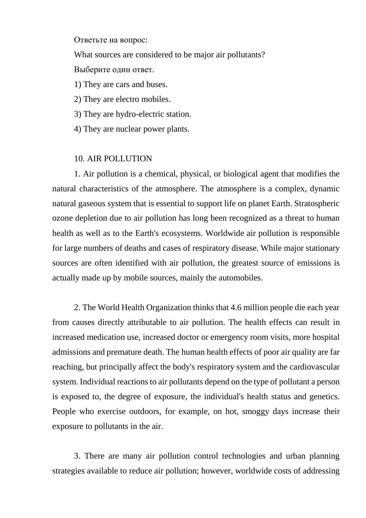Ответьте на вопрос:

What sources are considered to be major air pollutants?

Выберите один ответ.

1) They are cars and buses.

2) They are electro mobiles.

3) They are hydro-electric station.

4) They are nuclear power plants.

# 10. AIR POLLUTION

1. Air pollution is a chemical, physical, or biological agent that modifies the natural characteristics of the atmosphere. The atmosphere is a complex, dynamic natural gaseous system that is essential to support life on planet Earth. Stratospheric ozone depletion due to air pollution has long been recognized as a threat to human health as well as to the Earth's ecosystems. Worldwide air pollution is responsible for large numbers of deaths and cases of respiratory disease. While major stationary sources are often identified with air pollution, the greatest source of emissions is actually made up by mobile sources, mainly the automobiles.

2. The World Health Organization thinks that 4.6 million people die each year from causes directly attributable to air pollution. The health effects can result in increased medication use, increased doctor or emergency room visits, more hospital admissions and premature death. The human health effects of poor air quality are far reaching, but principally affect the body's respiratory system and the cardiovascular system. Individual reactions to air pollutants depend on the type of pollutant a person is exposed to, the degree of exposure, the individual's health status and genetics. People who exercise outdoors, for example, on hot, smoggy days increase their exposure to pollutants in the air.

3. There are many air pollution control technologies and urban planning strategies available to reduce air pollution; however, worldwide costs of addressing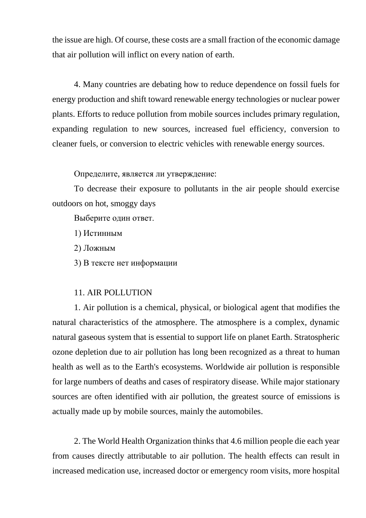the issue are high. Of course, these costs are a small fraction of the economic damage that air pollution will inflict on every nation of earth.

4. Many countries are debating how to reduce dependence on fossil fuels for energy production and shift toward renewable energy technologies or nuclear power plants. Efforts to reduce pollution from mobile sources includes primary regulation, expanding regulation to new sources, increased fuel efficiency, conversion to cleaner fuels, or conversion to electric vehicles with renewable energy sources.

Определите, является ли утверждение:

To decrease their exposure to pollutants in the air people should exercise outdoors on hot, smoggy days

Выберите один ответ.

- 1) Истинным
- 2) Ложным
- 3) В тексте нет информации

#### 11. AIR POLLUTION

1. Air pollution is a chemical, physical, or biological agent that modifies the natural characteristics of the atmosphere. The atmosphere is a complex, dynamic natural gaseous system that is essential to support life on planet Earth. Stratospheric ozone depletion due to air pollution has long been recognized as a threat to human health as well as to the Earth's ecosystems. Worldwide air pollution is responsible for large numbers of deaths and cases of respiratory disease. While major stationary sources are often identified with air pollution, the greatest source of emissions is actually made up by mobile sources, mainly the automobiles.

2. The World Health Organization thinks that 4.6 million people die each year from causes directly attributable to air pollution. The health effects can result in increased medication use, increased doctor or emergency room visits, more hospital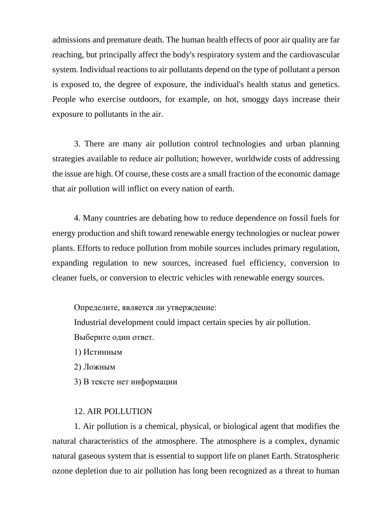admissions and premature death. The human health effects of poor air quality are far reaching, but principally affect the body's respiratory system and the cardiovascular system. Individual reactions to air pollutants depend on the type of pollutant a person is exposed to, the degree of exposure, the individual's health status and genetics. People who exercise outdoors, for example, on hot, smoggy days increase their exposure to pollutants in the air.

3. There are many air pollution control technologies and urban planning strategies available to reduce air pollution; however, worldwide costs of addressing the issue are high. Of course, these costs are a small fraction of the economic damage that air pollution will inflict on every nation of earth.

4. Many countries are debating how to reduce dependence on fossil fuels for energy production and shift toward renewable energy technologies or nuclear power plants. Efforts to reduce pollution from mobile sources includes primary regulation, expanding regulation to new sources, increased fuel efficiency, conversion to cleaner fuels, or conversion to electric vehicles with renewable energy sources.

Определите, является ли утверждение:

Industrial development could impact certain species by air pollution.

Выберите один ответ.

1) Истинным

2) Ложным

3) В тексте нет информации

### 12. AIR POLLUTION

1. Air pollution is a chemical, physical, or biological agent that modifies the natural characteristics of the atmosphere. The atmosphere is a complex, dynamic natural gaseous system that is essential to support life on planet Earth. Stratospheric ozone depletion due to air pollution has long been recognized as a threat to human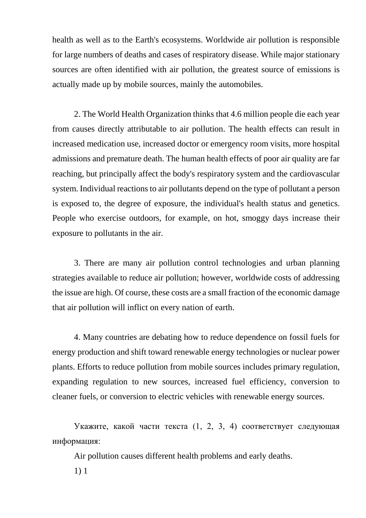health as well as to the Earth's ecosystems. Worldwide air pollution is responsible for large numbers of deaths and cases of respiratory disease. While major stationary sources are often identified with air pollution, the greatest source of emissions is actually made up by mobile sources, mainly the automobiles.

2. The World Health Organization thinks that 4.6 million people die each year from causes directly attributable to air pollution. The health effects can result in increased medication use, increased doctor or emergency room visits, more hospital admissions and premature death. The human health effects of poor air quality are far reaching, but principally affect the body's respiratory system and the cardiovascular system. Individual reactions to air pollutants depend on the type of pollutant a person is exposed to, the degree of exposure, the individual's health status and genetics. People who exercise outdoors, for example, on hot, smoggy days increase their exposure to pollutants in the air.

3. There are many air pollution control technologies and urban planning strategies available to reduce air pollution; however, worldwide costs of addressing the issue are high. Of course, these costs are a small fraction of the economic damage that air pollution will inflict on every nation of earth.

4. Many countries are debating how to reduce dependence on fossil fuels for energy production and shift toward renewable energy technologies or nuclear power plants. Efforts to reduce pollution from mobile sources includes primary regulation, expanding regulation to new sources, increased fuel efficiency, conversion to cleaner fuels, or conversion to electric vehicles with renewable energy sources.

Укажите, какой части текста (1, 2, 3, 4) соответствует следующая информация:

Air pollution causes different health problems and early deaths.

1) 1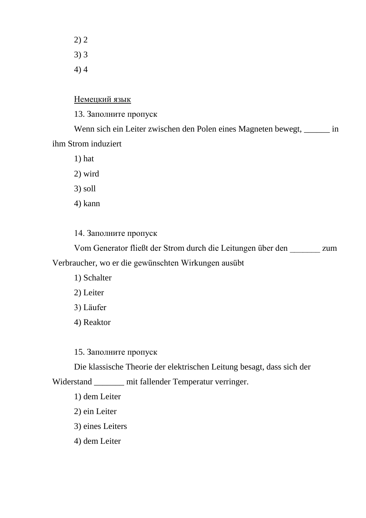2) 2 3) 3 4) 4

### Немецкий язык

13. Заполните пропуск

Wenn sich ein Leiter zwischen den Polen eines Magneten bewegt, \_\_\_\_\_\_ in ihm Strom induziert

1) hat

2) wird

3) soll

4) kann

14. Заполните пропуск

Vom Generator fließt der Strom durch die Leitungen über den \_\_\_\_\_\_\_ zum Verbraucher, wo er die gewünschten Wirkungen ausübt

1) Schalter

2) Leiter

3) Läufer

4) Reaktor

15. Заполните пропуск

Die klassische Theorie der elektrischen Leitung besagt, dass sich der

Widerstand \_\_\_\_\_\_\_ mit fallender Temperatur verringer.

1) dem Leiter

2) ein Leiter

3) eines Leiters

4) dem Leiter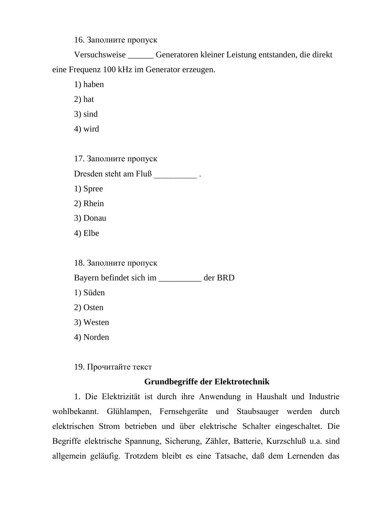16. Заполните пропуск

Versuchsweise \_\_\_\_\_\_ Generatoren kleiner Leistung entstanden, die direkt eine Frequenz 100 kHz im Generator erzeugen.

- 1) haben
- 2) hat
- 3) sind
- 4) wird

17. Заполните пропуск

Dresden steht am Fluß

- 1) Spree
- 2) Rhein
- 3) Donau
- 4) Elbe

18. Заполните пропуск

Bayern befindet sich im \_\_\_\_\_\_\_\_\_\_ der BRD

- 1) Süden
- 2) Osten
- 3) Westen
- 4) Norden

19. Прочитайте текст

# **Grundbegriffe der Elektrotechnik**

1. Die Elektrizität ist durch ihre Anwendung in Haushalt und Industrie wohlbekannt. Glühlampen, Fernsehgeräte und Staubsauger werden durch elektrischen Strom betrieben und über elektrische Schalter eingeschaltet. Die Begriffe elektrische Spannung, Sicherung, Zähler, Batterie, Kurzschluß u.a. sind allgemein geläufig. Trotzdem bleibt es eine Tatsache, daß dem Lernenden das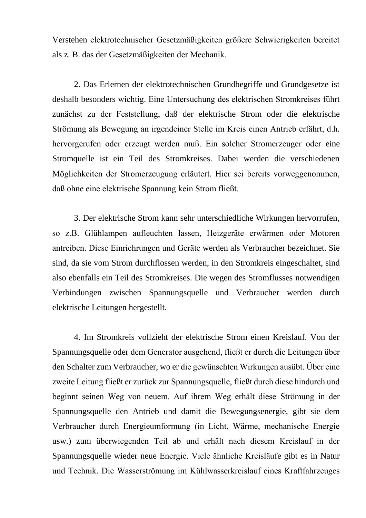Verstehen elektrotechnischer Gesetzmäßigkeiten größere Schwierigkeiten bereitet als z. B. das der Gesetzmäßigkeiten der Mechanik.

2. Das Erlernen der elektrotechnischen Grundbegriffe und Grundgesetze ist deshalb besonders wichtig. Eine Untersuchung des elektrischen Stromkreises führt zunächst zu der Feststellung, daß der elektrische Strom oder die elektrische Strömung als Bewegung an irgendeiner Stelle im Kreis einen Antrieb erfährt, d.h. hervorgerufen oder erzeugt werden muß. Ein solcher Stromerzeuger oder eine Stromquelle ist ein Teil des Stromkreises. Dabei werden die verschiedenen Möglichkeiten der Stromerzeugung erläutert. Hier sei bereits vorweggenommen, daß ohne eine elektrische Spannung kein Strom fließt.

3. Der elektrische Strom kann sehr unterschiedliche Wirkungen hervorrufen, so z.B. Glühlampen aufleuchten lassen, Heizgeräte erwärmen oder Motoren antreiben. Diese Einrichrungen und Geräte werden als Verbraucher bezeichnet. Sie sind, da sie vom Strom durchflossen werden, in den Stromkreis eingeschaltet, sind also ebenfalls ein Teil des Stromkreises. Die wegen des Stromflusses notwendigen Verbindungen zwischen Spannungsquelle und Verbraucher werden durch elektrische Leitungen hergestellt.

4. Im Stromkreis vollzieht der elektrische Strom einen Kreislauf. Von der Spannungsquelle oder dem Generator ausgehend, fließt er durch die Leitungen über den Schalter zum Verbraucher, wo er die gewünschten Wirkungen ausübt. Über eine zweite Leitung fließt er zurück zur Spannungsquelle, fließt durch diese hindurch und beginnt seinen Weg von neuem. Auf ihrem Weg erhält diese Strömung in der Spannungsquelle den Antrieb und damit die Bewegungsenergie, gibt sie dem Verbraucher durch Energieumformung (in Licht, Wärme, mechanische Energie usw.) zum überwiegenden Teil ab und erhält nach diesem Kreislauf in der Spannungsquelle wieder neue Energie. Viele ähnliche Kreisläufe gibt es in Natur und Technik. Die Wasserströmung im Kühlwasserkreislauf eines Kraftfahrzeuges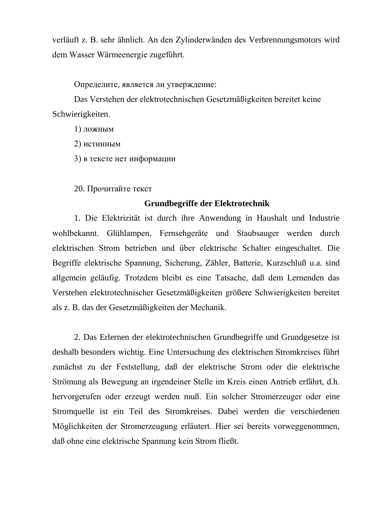verläuft z. B. sehr ähnlich. An den Zylinderwänden des Verbrennungsmotors wird dem Wasser Wärmeenergie zugeführt.

Определите, является ли утверждение:

Das Verstehen der elektrotechnischen Gesetzmäßigkeiten bereitet keine Schwierigkeiten.

1) ложным

2) истинным

3) в тексте нет информации

20. Прочитайте текст

## **Grundbegriffe der Elektrotechnik**

1. Die Elektrizität ist durch ihre Anwendung in Haushalt und Industrie wohlbekannt. Glühlampen, Fernsehgeräte und Staubsauger werden durch elektrischen Strom betrieben und über elektrische Schalter eingeschaltet. Die Begriffe elektrische Spannung, Sicherung, Zähler, Batterie, Kurzschluß u.a. sind allgemein geläufig. Trotzdem bleibt es eine Tatsache, daß dem Lernenden das Verstehen elektrotechnischer Gesetzmäßigkeiten größere Schwierigkeiten bereitet als z. B. das der Gesetzmäßigkeiten der Mechanik.

2. Das Erlernen der elektrotechnischen Grundbegriffe und Grundgesetze ist deshalb besonders wichtig. Eine Untersuchung des elektrischen Stromkreises führt zunächst zu der Feststellung, daß der elektrische Strom oder die elektrische Strömung als Bewegung an irgendeiner Stelle im Kreis einen Antrieb erfährt, d.h. hervorgerufen oder erzeugt werden muß. Ein solcher Stromerzeuger oder eine Stromquelle ist ein Teil des Stromkreises. Dabei werden die verschiedenen Möglichkeiten der Stromerzeugung erläutert. Hier sei bereits vorweggenommen, daß ohne eine elektrische Spannung kein Strom fließt.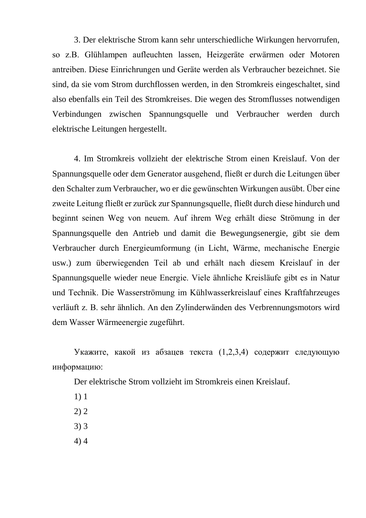3. Der elektrische Strom kann sehr unterschiedliche Wirkungen hervorrufen, so z.B. Glühlampen aufleuchten lassen, Heizgeräte erwärmen oder Motoren antreiben. Diese Einrichrungen und Geräte werden als Verbraucher bezeichnet. Sie sind, da sie vom Strom durchflossen werden, in den Stromkreis eingeschaltet, sind also ebenfalls ein Teil des Stromkreises. Die wegen des Stromflusses notwendigen Verbindungen zwischen Spannungsquelle und Verbraucher werden durch elektrische Leitungen hergestellt.

4. Im Stromkreis vollzieht der elektrische Strom einen Kreislauf. Von der Spannungsquelle oder dem Generator ausgehend, fließt er durch die Leitungen über den Schalter zum Verbraucher, wo er die gewünschten Wirkungen ausübt. Über eine zweite Leitung fließt er zurück zur Spannungsquelle, fließt durch diese hindurch und beginnt seinen Weg von neuem. Auf ihrem Weg erhält diese Strömung in der Spannungsquelle den Antrieb und damit die Bewegungsenergie, gibt sie dem Verbraucher durch Energieumformung (in Licht, Wärme, mechanische Energie usw.) zum überwiegenden Teil ab und erhält nach diesem Kreislauf in der Spannungsquelle wieder neue Energie. Viele ähnliche Kreisläufe gibt es in Natur und Technik. Die Wasserströmung im Kühlwasserkreislauf eines Kraftfahrzeuges verläuft z. B. sehr ähnlich. An den Zylinderwänden des Verbrennungsmotors wird dem Wasser Wärmeenergie zugeführt.

Укажите, какой из абзацев текста (1,2,3,4) содержит следующую информацию:

Der elektrische Strom vollzieht im Stromkreis einen Kreislauf.

- 1) 1
- 2) 2
- 3) 3
- 4) 4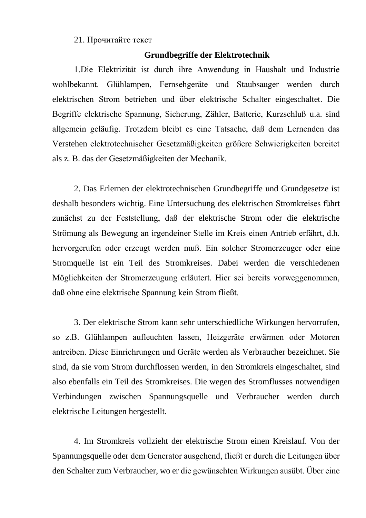## 21. Прочитайте текст

## **Grundbegriffe der Elektrotechnik**

1.Die Elektrizität ist durch ihre Anwendung in Haushalt und Industrie wohlbekannt. Glühlampen, Fernsehgeräte und Staubsauger werden durch elektrischen Strom betrieben und über elektrische Schalter eingeschaltet. Die Begriffe elektrische Spannung, Sicherung, Zähler, Batterie, Kurzschluß u.a. sind allgemein geläufig. Trotzdem bleibt es eine Tatsache, daß dem Lernenden das Verstehen elektrotechnischer Gesetzmäßigkeiten größere Schwierigkeiten bereitet als z. B. das der Gesetzmäßigkeiten der Mechanik.

2. Das Erlernen der elektrotechnischen Grundbegriffe und Grundgesetze ist deshalb besonders wichtig. Eine Untersuchung des elektrischen Stromkreises führt zunächst zu der Feststellung, daß der elektrische Strom oder die elektrische Strömung als Bewegung an irgendeiner Stelle im Kreis einen Antrieb erfährt, d.h. hervorgerufen oder erzeugt werden muß. Ein solcher Stromerzeuger oder eine Stromquelle ist ein Teil des Stromkreises. Dabei werden die verschiedenen Möglichkeiten der Stromerzeugung erläutert. Hier sei bereits vorweggenommen, daß ohne eine elektrische Spannung kein Strom fließt.

3. Der elektrische Strom kann sehr unterschiedliche Wirkungen hervorrufen, so z.B. Glühlampen aufleuchten lassen, Heizgeräte erwärmen oder Motoren antreiben. Diese Einrichrungen und Geräte werden als Verbraucher bezeichnet. Sie sind, da sie vom Strom durchflossen werden, in den Stromkreis eingeschaltet, sind also ebenfalls ein Teil des Stromkreises. Die wegen des Stromflusses notwendigen Verbindungen zwischen Spannungsquelle und Verbraucher werden durch elektrische Leitungen hergestellt.

4. Im Stromkreis vollzieht der elektrische Strom einen Kreislauf. Von der Spannungsquelle oder dem Generator ausgehend, fließt er durch die Leitungen über den Schalter zum Verbraucher, wo er die gewünschten Wirkungen ausübt. Über eine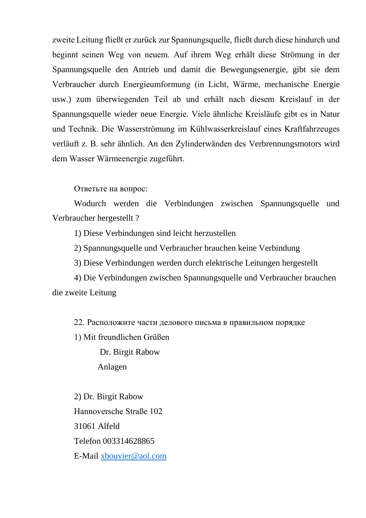zweite Leitung fließt er zurück zur Spannungsquelle, fließt durch diese hindurch und beginnt seinen Weg von neuem. Auf ihrem Weg erhält diese Strömung in der Spannungsquelle den Antrieb und damit die Bewegungsenergie, gibt sie dem Verbraucher durch Energieumformung (in Licht, Wärme, mechanische Energie usw.) zum überwiegenden Teil ab und erhält nach diesem Kreislauf in der Spannungsquelle wieder neue Energie. Viele ähnliche Kreisläufe gibt es in Natur und Technik. Die Wasserströmung im Kühlwasserkreislauf eines Kraftfahrzeuges verläuft z. B. sehr ähnlich. An den Zylinderwänden des Verbrennungsmotors wird dem Wasser Wärmeenergie zugeführt.

Ответьте на вопрос:

Wodurch werden die Verbindungen zwischen Spannungsquelle und Verbraucher hergestellt ?

1) Diese Verbindungen sind leicht herzustellen

2) Spannungsquelle und Verbraucher brauchen keine Verbindung

3) Diese Verbindungen werden durch elektrische Leitungen hergestellt

4) Die Verbindungen zwischen Spannungsquelle und Verbraucher brauchen die zweite Leitung

22. Расположите части делового письма в правильном порядке

1) Mit freundlichen Grüßen

 Dr. Birgit Rabow Anlagen

2) Dr. Birgit Rabow Hannoversche Straße 102 31061 Alfeld Telefon 003314628865 E-Mail [xbouvier@aol.com](mailto:xbouvier@aol.com)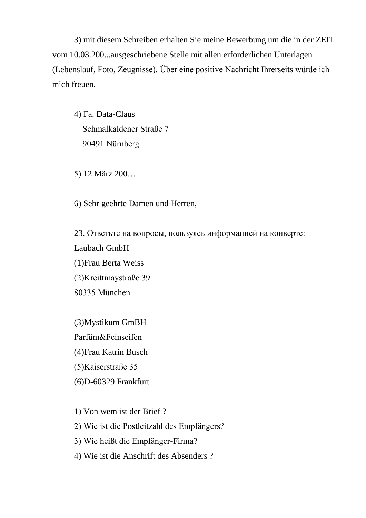3) mit diesem Schreiben erhalten Sie meine Bewerbung um die in der ZEIT vom 10.03.200...ausgeschriebene Stelle mit allen erforderlichen Unterlagen (Lebenslauf, Foto, Zeugnisse). Über eine positive Nachricht Ihrerseits würde ich mich freuen.

4) Fa. Data-Claus Schmalkaldener Straße 7 90491 Nürnberg

5) 12.März 200…

6) Sehr geehrte Damen und Herren,

23. Ответьте на вопросы, пользуясь информацией на конверте: Laubach GmbH (1)Frau Berta Weiss (2)Kreittmaystraße 39 80335 München

(3)Mystikum GmBH Parfüm&Feinseifen (4)Frau Katrin Busch (5)Kaiserstraße 35 (6)D-60329 Frankfurt

1) Von wem ist der Brief ?

2) Wie ist die Postleitzahl des Empfängers?

3) Wie heißt die Empfänger-Firma?

4) Wie ist die Anschrift des Absenders ?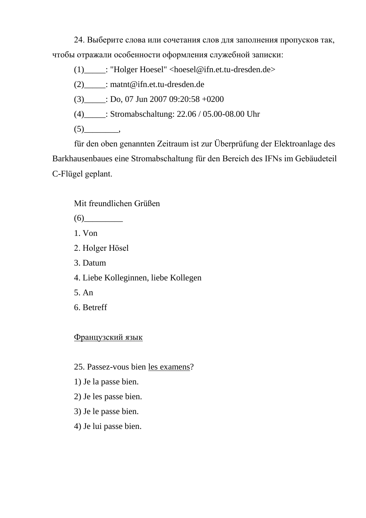24. Выберите слова или сочетания слов для заполнения пропусков так, чтобы отражали особенности оформления служебной записки:

(1)\_\_\_\_\_: "Holger Hoesel" <hoesel@ifn.et.tu-dresden.de>

(2)\_\_\_\_\_: matnt@ifn.et.tu-dresden.de

(3)  $\qquad$  : Do, 07 Jun 2007 09:20:58 +0200

(4)\_\_\_\_\_: Stromabschaltung: 22.06 / 05.00-08.00 Uhr

(5)\_\_\_\_\_\_\_\_,

für den oben genannten Zeitraum ist zur Überprüfung der Elektroanlage des Barkhausenbaues eine Stromabschaltung für den Bereich des IFNs im Gebäudeteil C-Flügel geplant.

Mit freundlichen Grüßen

 $(6)$ 

1. Von

2. Holger Hösel

3. Datum

4. Liebe Kolleginnen, liebe Kollegen

5. An

6. Betreff

Французский язык

25. Passez-vous bien les examens?

1) Je la passe bien.

2) Je les passe bien.

3) Je le passe bien.

4) Je lui passe bien.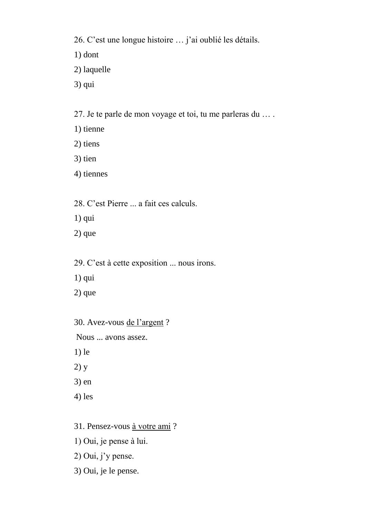26. C'est une longue histoire … j'ai oublié les détails.

1) dont

- 2) laquelle
- 3) qui

27. Je te parle de mon voyage et toi, tu me parleras du … .

- 1) tienne
- 2) tiens
- 3) tien
- 4) tiennes

28. C'est Pierre ... a fait ces calculs.

- 1) qui
- 2) que
- 29. C'est à cette exposition ... nous irons.
- 1) qui
- 2) que
- 30. Avez-vous de l'argent ?
- Nous ... avons assez.
- 1) le
- 2) y
- 3) en
- 4) les
- 31. Pensez-vous à votre ami ?
- 1) Oui, je pense à lui.
- 2) Oui, j'y pense.
- 3) Oui, je le pense.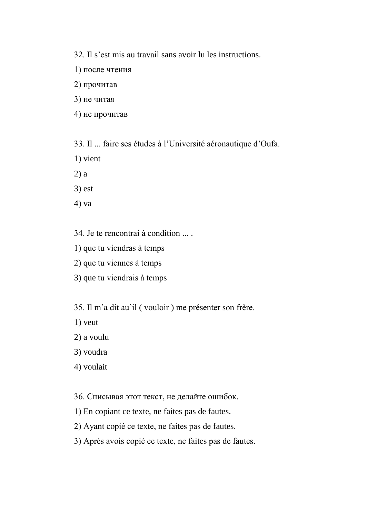32. Il s'est mis au travail sans avoir lu les instructions.

- 1) после чтения
- 2) прочитав
- 3) не читая
- 4) не прочитав
- 33. Il ... faire ses études à l'Université aéronautique d'Oufa.
- 1) vient
- 2) a
- 3) est
- 4) va
- 34. Je te rencontrai à condition ... .
- 1) que tu viendras à temps
- 2) que tu viennes à temps
- 3) que tu viendrais à temps
- 35. Il m'a dit au'il ( vouloir ) me présenter son frère.
- 1) veut
- 2) a voulu
- 3) voudra
- 4) voulait
- 36. Списывая этот текст, не делайте ошибок.
- 1) En copiant ce texte, ne faites pas de fautes.
- 2) Ayant copié ce texte, ne faites pas de fautes.
- 3) Après avois copié ce texte, ne faites pas de fautes.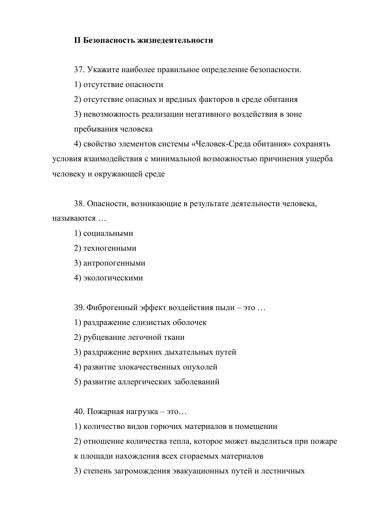# **II Безопасность жизнедеятельности**

37. Укажите наиболее правильное определение безопасности.

1) отсутствие опасности

2) отсутствие опасных и вредных факторов в среде обитания

3) невозможность реализации негативного воздействия в зоне пребывания человека

4) свойство элементов системы «Человек-Среда обитания» сохранять условия взаимодействия с минимальной возможностью причинения ущерба человеку и окружающей среде

38. Опасности, возникающие в результате деятельности человека, называются …

1) социальными

2) техногенными

3) антропогенными

4) экологическими

39. Фиброгенный эффект воздействия пыли – это …

1) раздражение слизистых оболочек

2) рубцевание легочной ткани

3) раздражение верхних дыхательных путей

4) развитие злокачественных опухолей

5) развитие аллергических заболеваний

40. Пожарная нагрузка – это…

1) количество видов горючих материалов в помещении

2) отношение количества тепла, которое может выделиться при пожаре

к площади нахождения всех сгораемых материалов

3) степень загромождения эвакуационных путей и лестничных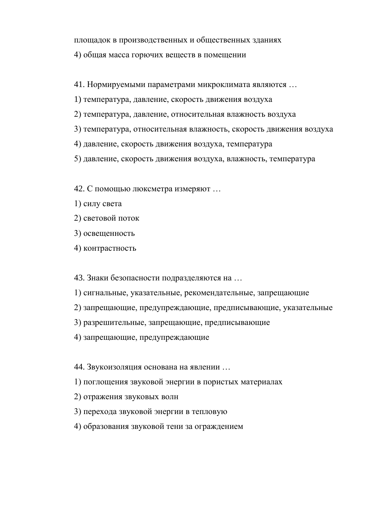площадок в производственных и общественных зданиях 4) общая масса горючих веществ в помещении

41. Нормируемыми параметрами микроклимата являются …

- 1) температура, давление, скорость движения воздуха
- 2) температура, давление, относительная влажность воздуха
- 3) температура, относительная влажность, скорость движения воздуха
- 4) давление, скорость движения воздуха, температура
- 5) давление, скорость движения воздуха, влажность, температура
- 42. С помощью люксметра измеряют …
- 1) силу света
- 2) световой поток
- 3) освещенность
- 4) контрастность

43. Знаки безопасности подразделяются на …

- 1) сигнальные, указательные, рекомендательные, запрещающие
- 2) запрещающие, предупреждающие, предписывающие, указательные
- 3) разрешительные, запрещающие, предписывающие
- 4) запрещающие, предупреждающие

44. Звукоизоляция основана на явлении …

- 1) поглощения звуковой энергии в пористых материалах
- 2) отражения звуковых волн
- 3) перехода звуковой энергии в тепловую
- 4) образования звуковой тени за ограждением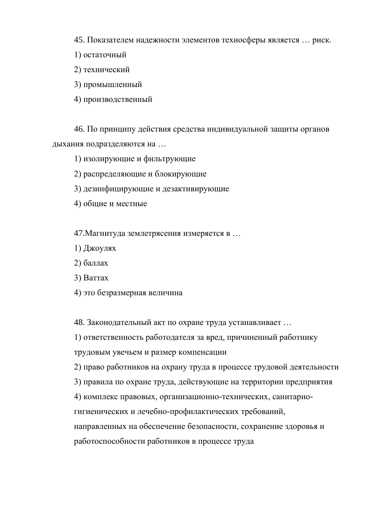45. Показателем надежности элементов техносферы является … риск.

- 1) остаточный
- 2) технический
- 3) промышленный
- 4) производственный

46. По принципу действия средства индивидуальной защиты органов дыхания подразделяются на …

- 1) изолирующие и фильтрующие
- 2) распределяющие и блокирующие
- 3) дезинфицирующие и дезактивирующие
- 4) общие и местные

47.Магнитуда землетрясения измеряется в …

- 1) Джоулях
- 2) баллах
- 3) Ваттах
- 4) это безразмерная величина

48. Законодательный акт по охране труда устанавливает …

1) ответственность работодателя за вред, причиненный работнику трудовым увечьем и размер компенсации

2) право работников на охрану труда в процессе трудовой деятельности

3) правила по охране труда, действующие на территории предприятия

4) комплекс правовых, организационно-технических, санитарно-

гигиенических и лечебно-профилактических требований,

направленных на обеспечение безопасности, сохранение здоровья и

работоспособности работников в процессе труда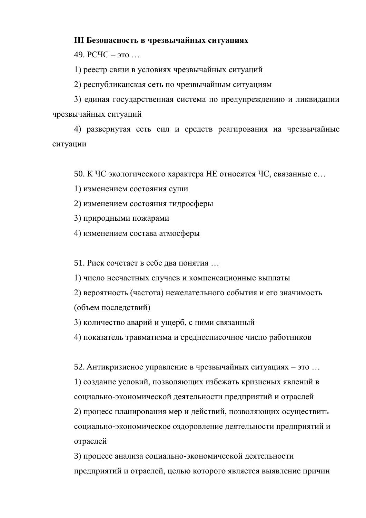# **III Безопасность в чрезвычайных ситуациях**

49. РСЧC – это …

1) реестр связи в условиях чрезвычайных ситуаций

2) республиканская сеть по чрезвычайным ситуациям

3) единая государственная система по предупреждению и ликвидации чрезвычайных ситуаций

4) развернутая сеть сил и средств реагирования на чрезвычайные ситуации

50. К ЧС экологического характера НЕ относятся ЧС, связанные с…

1) изменением состояния суши

2) изменением состояния гидросферы

3) природными пожарами

4) изменением состава атмосферы

51. Риск сочетает в себе два понятия …

1) число несчастных случаев и компенсационные выплаты

2) вероятность (частота) нежелательного события и его значимость (объем последствий)

3) количество аварий и ущерб, с ними связанный

4) показатель травматизма и среднесписочное число работников

52. Антикризисное управление в чрезвычайных ситуациях – это … 1) создание условий, позволяющих избежать кризисных явлений в социально-экономической деятельности предприятий и отраслей 2) процесс планирования мер и действий, позволяющих осуществить социально-экономическое оздоровление деятельности предприятий и отраслей

3) процесс анализа социально-экономической деятельности предприятий и отраслей, целью которого является выявление причин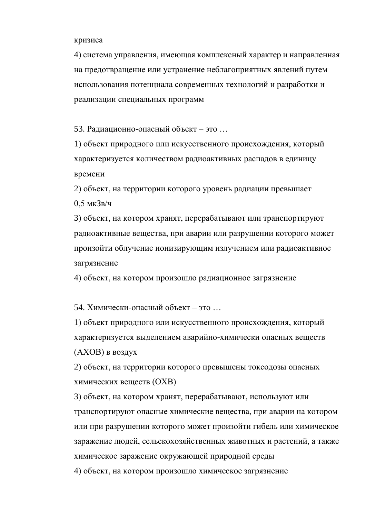### кризиса

4) система управления, имеющая комплексный характер и направленная на предотвращение или устранение неблагоприятных явлений путем использования потенциала современных технологий и разработки и реализации специальных программ

53. Радиационно-опасный объект – это …

1) объект природного или искусственного происхождения, который характеризуется количеством радиоактивных распадов в единицу времени

2) объект, на территории которого уровень радиации превышает 0,5 мкЗв/ч

3) объект, на котором хранят, перерабатывают или транспортируют радиоактивные вещества, при аварии или разрушении которого может произойти облучение ионизирующим излучением или радиоактивное загрязнение

4) объект, на котором произошло радиационное загрязнение

54. Химически-опасный объект – это …

1) объект природного или искусственного происхождения, который характеризуется выделением аварийно-химически опасных веществ (АХОВ) в воздух

2) объект, на территории которого превышены токсодозы опасных химических веществ (ОХВ)

3) объект, на котором хранят, перерабатывают, используют или транспортируют опасные химические вещества, при аварии на котором или при разрушении которого может произойти гибель или химическое заражение людей, сельскохозяйственных животных и растений, а также химическое заражение окружающей природной среды

4) объект, на котором произошло химическое загрязнение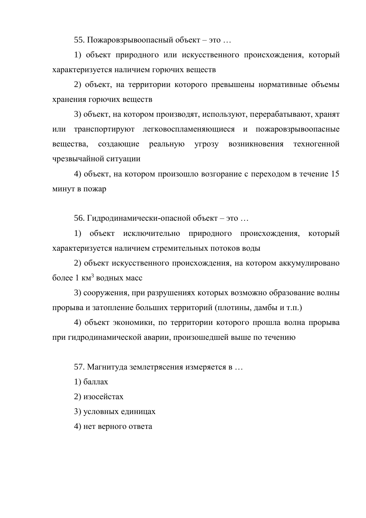55. Пожаровзрывоопасный объект – это …

1) объект природного или искусственного происхождения, который характеризуется наличием горючих веществ

2) объект, на территории которого превышены нормативные объемы хранения горючих веществ

3) объект, на котором производят, используют, перерабатывают, хранят или транспортируют легковоспламеняющиеся и пожаровзрывоопасные вещества, создающие реальную угрозу возникновения техногенной чрезвычайной ситуации

4) объект, на котором произошло возгорание с переходом в течение 15 минут в пожар

56. Гидродинамически-опасной объект – это …

1) объект исключительно природного происхождения, который характеризуется наличием стремительных потоков воды

2) объект искусственного происхождения, на котором аккумулировано более 1 км<sup>3</sup> водных масс

3) сооружения, при разрушениях которых возможно образование волны прорыва и затопление больших территорий (плотины, дамбы и т.п.)

4) объект экономики, по территории которого прошла волна прорыва при гидродинамической аварии, произошедшей выше по течению

57. Магнитуда землетрясения измеряется в …

1) баллах

2) изосейстах

3) условных единицах

4) нет верного ответа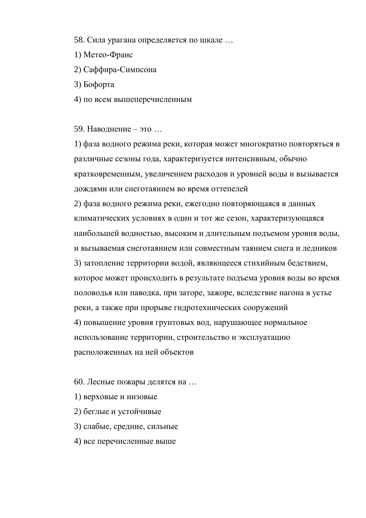58. Сила урагана определяется по шкале …

- 1) Метео-Франс
- 2) Саффира-Симпсона
- 3) Бофорта
- 4) по всем вышеперечисленным

59. Наводнение – это …

1) фаза водного режима реки, которая может многократно повторяться в различные сезоны года, характеризуется интенсивным, обычно кратковременным, увеличением расходов и уровней воды и вызывается дождями или снеготаянием во время оттепелей

2) фаза водного режима реки, ежегодно повторяющаяся в данных климатических условиях в один и тот же сезон, характеризующаяся наибольшей водностью, высоким и длительным подъемом уровня воды, и вызываемая снеготаянием или совместным таянием снега и ледников 3) затопление территории водой, являющееся стихийным бедствием, которое может происходить в результате подъема уровня воды во время половодья или паводка, при заторе, зажоре, вследствие нагона в устье реки, а также при прорыве гидротехнических сооружений 4) повышение уровня грунтовых вод, нарушающее нормальное использование территории, строительство и эксплуатацию расположенных на ней объектов

60. Лесные пожары делятся на …

- 1) верховые и низовые
- 2) беглые и устойчивые
- 3) слабые, средние, сильные
- 4) все перечисленные выше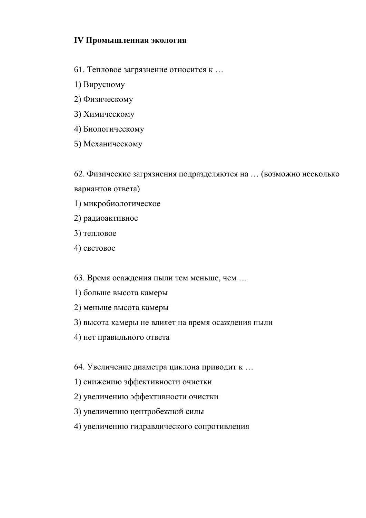# **IV Промышленная экология**

- 61. Тепловое загрязнение относится к …
- 1) Вирусному
- 2) Физическому
- 3) Химическому
- 4) Биологическому
- 5) Механическому

62. Физические загрязнения подразделяются на … (возможно несколько вариантов ответа)

- 1) микробиологическое
- 2) радиоактивное
- 3) тепловое
- 4) световое
- 63. Время осаждения пыли тем меньше, чем …
- 1) больше высота камеры
- 2) меньше высота камеры
- 3) высота камеры не влияет на время осаждения пыли
- 4) нет правильного ответа

64. Увеличение диаметра циклона приводит к …

- 1) снижению эффективности очистки
- 2) увеличению эффективности очистки
- 3) увеличению центробежной силы
- 4) увеличению гидравлического сопротивления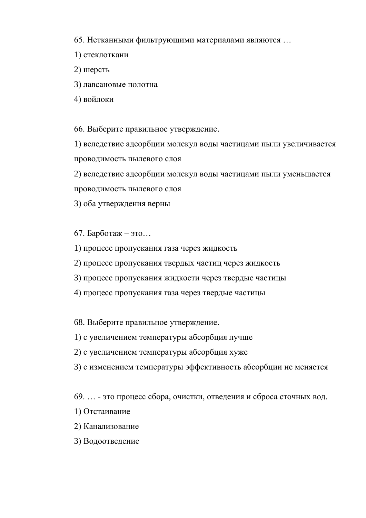65. Нетканными фильтрующими материалами являются …

- 1) стеклоткани
- 2) шерсть
- 3) лавсановые полотна
- 4) войлоки

66. Выберите правильное утверждение.

1) вследствие адсорбции молекул воды частицами пыли увеличивается проводимость пылевого слоя

2) вследствие адсорбции молекул воды частицами пыли уменьшается

проводимость пылевого слоя

3) оба утверждения верны

67. Барботаж – это…

- 1) процесс пропускания газа через жидкость
- 2) процесс пропускания твердых частиц через жидкость
- 3) процесс пропускания жидкости через твердые частицы
- 4) процесс пропускания газа через твердые частицы

68. Выберите правильное утверждение.

- 1) с увеличением температуры абсорбция лучше
- 2) с увеличением температуры абсорбция хуже
- 3) с изменением температуры эффективность абсорбции не меняется

69. … - это процесс сбора, очистки, отведения и сброса сточных вод.

- 1) Отстаивание
- 2) Канализование
- 3) Водоотведение